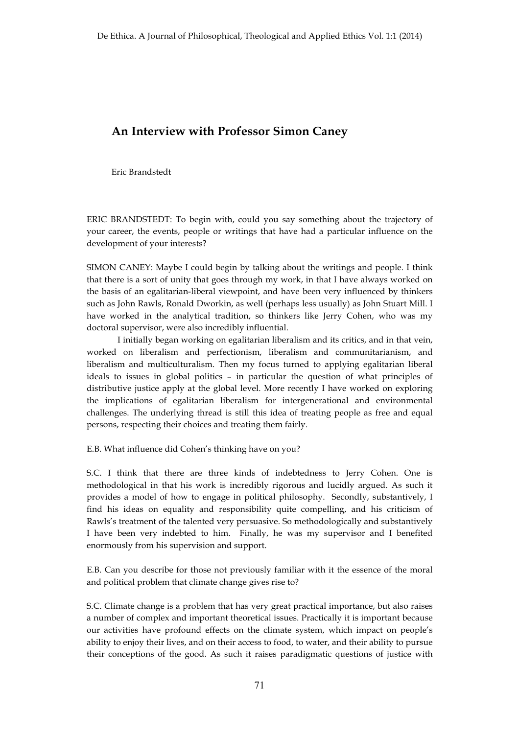## **An Interview with Professor Simon Caney**

Eric Brandstedt

ERIC BRANDSTEDT: To begin with, could you say something about the trajectory of your career, the events, people or writings that have had a particular influence on the development of your interests?

SIMON CANEY: Maybe I could begin by talking about the writings and people. I think that there is a sort of unity that goes through my work, in that I have always worked on the basis of an egalitarian-liberal viewpoint, and have been very influenced by thinkers such as John Rawls, Ronald Dworkin, as well (perhaps less usually) as John Stuart Mill. I have worked in the analytical tradition, so thinkers like Jerry Cohen, who was my doctoral supervisor, were also incredibly influential.

I initially began working on egalitarian liberalism and its critics, and in that vein, worked on liberalism and perfectionism, liberalism and communitarianism, and liberalism and multiculturalism. Then my focus turned to applying egalitarian liberal ideals to issues in global politics – in particular the question of what principles of distributive justice apply at the global level. More recently I have worked on exploring the implications of egalitarian liberalism for intergenerational and environmental challenges. The underlying thread is still this idea of treating people as free and equal persons, respecting their choices and treating them fairly.

E.B. What influence did Cohen's thinking have on you?

S.C. I think that there are three kinds of indebtedness to Jerry Cohen. One is methodological in that his work is incredibly rigorous and lucidly argued. As such it provides a model of how to engage in political philosophy. Secondly, substantively, I find his ideas on equality and responsibility quite compelling, and his criticism of Rawls's treatment of the talented very persuasive. So methodologically and substantively I have been very indebted to him. Finally, he was my supervisor and I benefited enormously from his supervision and support.

E.B. Can you describe for those not previously familiar with it the essence of the moral and political problem that climate change gives rise to?

S.C. Climate change is a problem that has very great practical importance, but also raises a number of complex and important theoretical issues. Practically it is important because our activities have profound effects on the climate system, which impact on people's ability to enjoy their lives, and on their access to food, to water, and their ability to pursue their conceptions of the good. As such it raises paradigmatic questions of justice with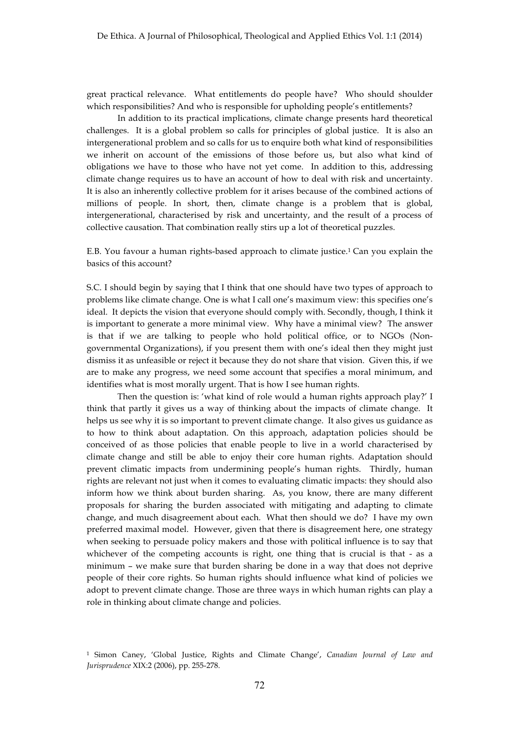great practical relevance. What entitlements do people have? Who should shoulder which responsibilities? And who is responsible for upholding people's entitlements?

In addition to its practical implications, climate change presents hard theoretical challenges. It is a global problem so calls for principles of global justice. It is also an intergenerational problem and so calls for us to enquire both what kind of responsibilities we inherit on account of the emissions of those before us, but also what kind of obligations we have to those who have not yet come. In addition to this, addressing climate change requires us to have an account of how to deal with risk and uncertainty. It is also an inherently collective problem for it arises because of the combined actions of millions of people. In short, then, climate change is a problem that is global, intergenerational, characterised by risk and uncertainty, and the result of a process of collective causation. That combination really stirs up a lot of theoretical puzzles.

E.B. You favour a human rights-based approach to climate justice.1 Can you explain the basics of this account?

S.C. I should begin by saying that I think that one should have two types of approach to problems like climate change. One is what I call one's maximum view: this specifies one's ideal. It depicts the vision that everyone should comply with. Secondly, though, I think it is important to generate a more minimal view. Why have a minimal view? The answer is that if we are talking to people who hold political office, or to NGOs (Nongovernmental Organizations), if you present them with one's ideal then they might just dismiss it as unfeasible or reject it because they do not share that vision. Given this, if we are to make any progress, we need some account that specifies a moral minimum, and identifies what is most morally urgent. That is how I see human rights.

Then the question is: 'what kind of role would a human rights approach play?' I think that partly it gives us a way of thinking about the impacts of climate change. It helps us see why it is so important to prevent climate change. It also gives us guidance as to how to think about adaptation. On this approach, adaptation policies should be conceived of as those policies that enable people to live in a world characterised by climate change and still be able to enjoy their core human rights. Adaptation should prevent climatic impacts from undermining people's human rights. Thirdly, human rights are relevant not just when it comes to evaluating climatic impacts: they should also inform how we think about burden sharing. As, you know, there are many different proposals for sharing the burden associated with mitigating and adapting to climate change, and much disagreement about each. What then should we do? I have my own preferred maximal model. However, given that there is disagreement here, one strategy when seeking to persuade policy makers and those with political influence is to say that whichever of the competing accounts is right, one thing that is crucial is that - as a minimum – we make sure that burden sharing be done in a way that does not deprive people of their core rights. So human rights should influence what kind of policies we adopt to prevent climate change. Those are three ways in which human rights can play a role in thinking about climate change and policies.

<sup>1</sup> Simon Caney, 'Global Justice, Rights and Climate Change', *Canadian Journal of Law and Jurisprudence* XIX:2 (2006), pp. 255-278.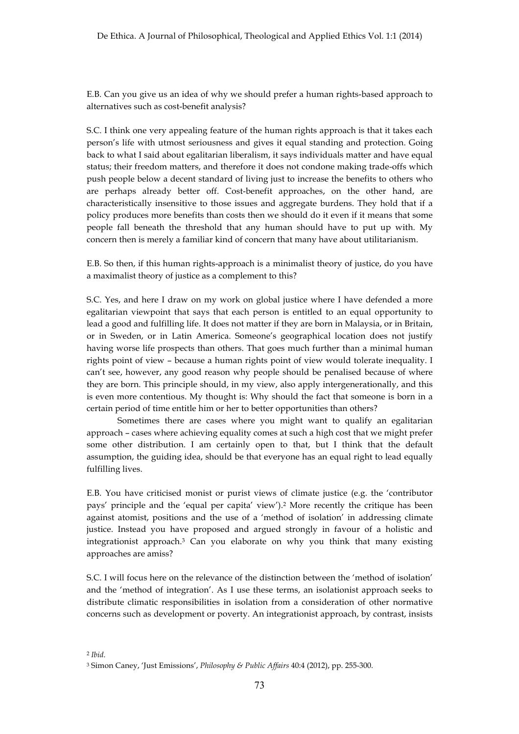E.B. Can you give us an idea of why we should prefer a human rights-based approach to alternatives such as cost-benefit analysis?

S.C. I think one very appealing feature of the human rights approach is that it takes each person's life with utmost seriousness and gives it equal standing and protection. Going back to what I said about egalitarian liberalism, it says individuals matter and have equal status; their freedom matters, and therefore it does not condone making trade-offs which push people below a decent standard of living just to increase the benefits to others who are perhaps already better off. Cost-benefit approaches, on the other hand, are characteristically insensitive to those issues and aggregate burdens. They hold that if a policy produces more benefits than costs then we should do it even if it means that some people fall beneath the threshold that any human should have to put up with. My concern then is merely a familiar kind of concern that many have about utilitarianism.

E.B. So then, if this human rights-approach is a minimalist theory of justice, do you have a maximalist theory of justice as a complement to this?

S.C. Yes, and here I draw on my work on global justice where I have defended a more egalitarian viewpoint that says that each person is entitled to an equal opportunity to lead a good and fulfilling life. It does not matter if they are born in Malaysia, or in Britain, or in Sweden, or in Latin America. Someone's geographical location does not justify having worse life prospects than others. That goes much further than a minimal human rights point of view – because a human rights point of view would tolerate inequality. I can't see, however, any good reason why people should be penalised because of where they are born. This principle should, in my view, also apply intergenerationally, and this is even more contentious. My thought is: Why should the fact that someone is born in a certain period of time entitle him or her to better opportunities than others?

Sometimes there are cases where you might want to qualify an egalitarian approach – cases where achieving equality comes at such a high cost that we might prefer some other distribution. I am certainly open to that, but I think that the default assumption, the guiding idea, should be that everyone has an equal right to lead equally fulfilling lives.

E.B. You have criticised monist or purist views of climate justice (e.g. the 'contributor pays' principle and the 'equal per capita' view').2 More recently the critique has been against atomist, positions and the use of a 'method of isolation' in addressing climate justice. Instead you have proposed and argued strongly in favour of a holistic and integrationist approach.3 Can you elaborate on why you think that many existing approaches are amiss?

S.C. I will focus here on the relevance of the distinction between the 'method of isolation' and the 'method of integration'. As I use these terms, an isolationist approach seeks to distribute climatic responsibilities in isolation from a consideration of other normative concerns such as development or poverty. An integrationist approach, by contrast, insists

<sup>3</sup> Simon Caney, 'Just Emissions', *Philosophy & Public Affairs* 40:4 (2012), pp. 255-300.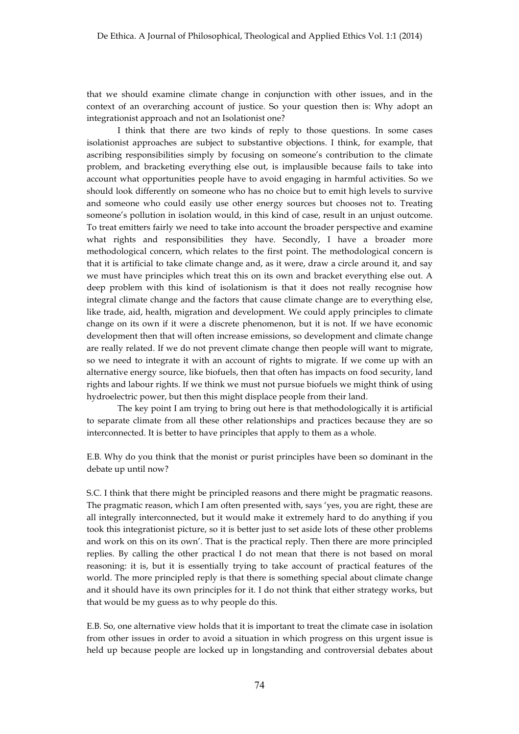that we should examine climate change in conjunction with other issues, and in the context of an overarching account of justice. So your question then is: Why adopt an integrationist approach and not an Isolationist one?

I think that there are two kinds of reply to those questions. In some cases isolationist approaches are subject to substantive objections. I think, for example, that ascribing responsibilities simply by focusing on someone's contribution to the climate problem, and bracketing everything else out, is implausible because fails to take into account what opportunities people have to avoid engaging in harmful activities. So we should look differently on someone who has no choice but to emit high levels to survive and someone who could easily use other energy sources but chooses not to. Treating someone's pollution in isolation would, in this kind of case, result in an unjust outcome. To treat emitters fairly we need to take into account the broader perspective and examine what rights and responsibilities they have. Secondly, I have a broader more methodological concern, which relates to the first point. The methodological concern is that it is artificial to take climate change and, as it were, draw a circle around it, and say we must have principles which treat this on its own and bracket everything else out. A deep problem with this kind of isolationism is that it does not really recognise how integral climate change and the factors that cause climate change are to everything else, like trade, aid, health, migration and development. We could apply principles to climate change on its own if it were a discrete phenomenon, but it is not. If we have economic development then that will often increase emissions, so development and climate change are really related. If we do not prevent climate change then people will want to migrate, so we need to integrate it with an account of rights to migrate. If we come up with an alternative energy source, like biofuels, then that often has impacts on food security, land rights and labour rights. If we think we must not pursue biofuels we might think of using hydroelectric power, but then this might displace people from their land.

The key point I am trying to bring out here is that methodologically it is artificial to separate climate from all these other relationships and practices because they are so interconnected. It is better to have principles that apply to them as a whole.

E.B. Why do you think that the monist or purist principles have been so dominant in the debate up until now?

S.C. I think that there might be principled reasons and there might be pragmatic reasons. The pragmatic reason, which I am often presented with, says 'yes, you are right, these are all integrally interconnected, but it would make it extremely hard to do anything if you took this integrationist picture, so it is better just to set aside lots of these other problems and work on this on its own'. That is the practical reply. Then there are more principled replies. By calling the other practical I do not mean that there is not based on moral reasoning: it is, but it is essentially trying to take account of practical features of the world. The more principled reply is that there is something special about climate change and it should have its own principles for it. I do not think that either strategy works, but that would be my guess as to why people do this.

E.B. So, one alternative view holds that it is important to treat the climate case in isolation from other issues in order to avoid a situation in which progress on this urgent issue is held up because people are locked up in longstanding and controversial debates about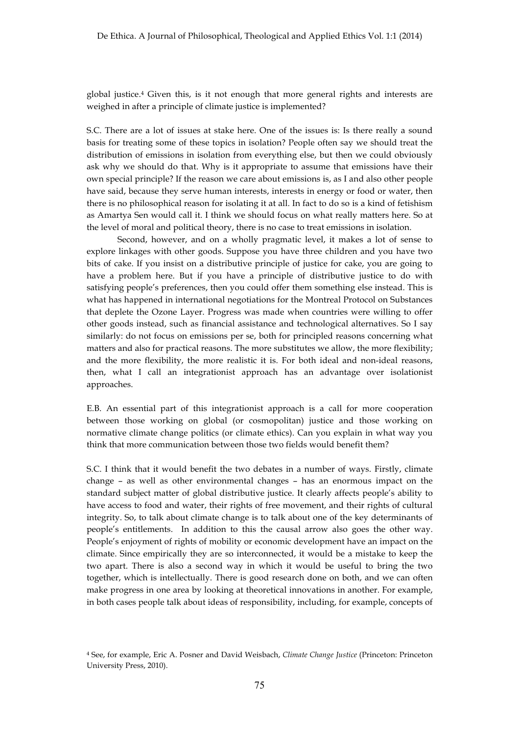global justice.4 Given this, is it not enough that more general rights and interests are weighed in after a principle of climate justice is implemented?

S.C. There are a lot of issues at stake here. One of the issues is: Is there really a sound basis for treating some of these topics in isolation? People often say we should treat the distribution of emissions in isolation from everything else, but then we could obviously ask why we should do that. Why is it appropriate to assume that emissions have their own special principle? If the reason we care about emissions is, as I and also other people have said, because they serve human interests, interests in energy or food or water, then there is no philosophical reason for isolating it at all. In fact to do so is a kind of fetishism as Amartya Sen would call it. I think we should focus on what really matters here. So at the level of moral and political theory, there is no case to treat emissions in isolation.

Second, however, and on a wholly pragmatic level, it makes a lot of sense to explore linkages with other goods. Suppose you have three children and you have two bits of cake. If you insist on a distributive principle of justice for cake, you are going to have a problem here. But if you have a principle of distributive justice to do with satisfying people's preferences, then you could offer them something else instead. This is what has happened in international negotiations for the Montreal Protocol on Substances that deplete the Ozone Layer. Progress was made when countries were willing to offer other goods instead, such as financial assistance and technological alternatives. So I say similarly: do not focus on emissions per se, both for principled reasons concerning what matters and also for practical reasons. The more substitutes we allow, the more flexibility; and the more flexibility, the more realistic it is. For both ideal and non-ideal reasons, then, what I call an integrationist approach has an advantage over isolationist approaches.

E.B. An essential part of this integrationist approach is a call for more cooperation between those working on global (or cosmopolitan) justice and those working on normative climate change politics (or climate ethics). Can you explain in what way you think that more communication between those two fields would benefit them?

S.C. I think that it would benefit the two debates in a number of ways. Firstly, climate change – as well as other environmental changes – has an enormous impact on the standard subject matter of global distributive justice. It clearly affects people's ability to have access to food and water, their rights of free movement, and their rights of cultural integrity. So, to talk about climate change is to talk about one of the key determinants of people's entitlements. In addition to this the causal arrow also goes the other way. People's enjoyment of rights of mobility or economic development have an impact on the climate. Since empirically they are so interconnected, it would be a mistake to keep the two apart. There is also a second way in which it would be useful to bring the two together, which is intellectually. There is good research done on both, and we can often make progress in one area by looking at theoretical innovations in another. For example, in both cases people talk about ideas of responsibility, including, for example, concepts of

<sup>4</sup> See, for example, Eric A. Posner and David Weisbach, *Climate Change Justice* (Princeton: Princeton University Press, 2010).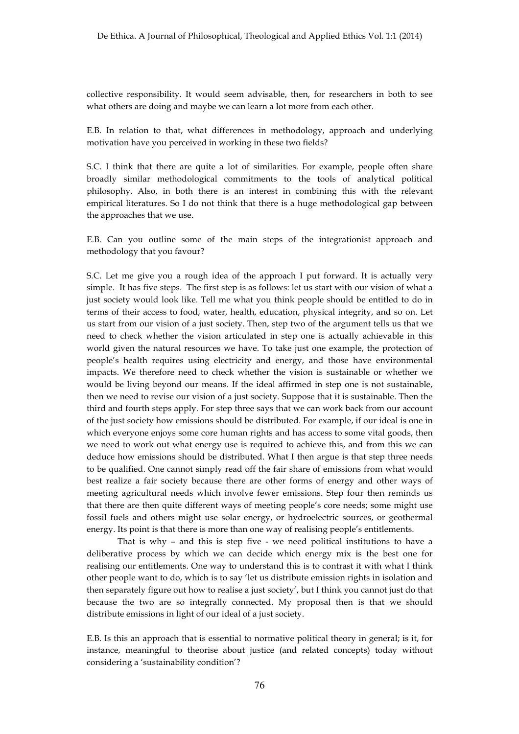collective responsibility. It would seem advisable, then, for researchers in both to see what others are doing and maybe we can learn a lot more from each other.

E.B. In relation to that, what differences in methodology, approach and underlying motivation have you perceived in working in these two fields?

S.C. I think that there are quite a lot of similarities. For example, people often share broadly similar methodological commitments to the tools of analytical political philosophy. Also, in both there is an interest in combining this with the relevant empirical literatures. So I do not think that there is a huge methodological gap between the approaches that we use.

E.B. Can you outline some of the main steps of the integrationist approach and methodology that you favour?

S.C. Let me give you a rough idea of the approach I put forward. It is actually very simple. It has five steps. The first step is as follows: let us start with our vision of what a just society would look like. Tell me what you think people should be entitled to do in terms of their access to food, water, health, education, physical integrity, and so on. Let us start from our vision of a just society. Then, step two of the argument tells us that we need to check whether the vision articulated in step one is actually achievable in this world given the natural resources we have. To take just one example, the protection of people's health requires using electricity and energy, and those have environmental impacts. We therefore need to check whether the vision is sustainable or whether we would be living beyond our means. If the ideal affirmed in step one is not sustainable, then we need to revise our vision of a just society. Suppose that it is sustainable. Then the third and fourth steps apply. For step three says that we can work back from our account of the just society how emissions should be distributed. For example, if our ideal is one in which everyone enjoys some core human rights and has access to some vital goods, then we need to work out what energy use is required to achieve this, and from this we can deduce how emissions should be distributed. What I then argue is that step three needs to be qualified. One cannot simply read off the fair share of emissions from what would best realize a fair society because there are other forms of energy and other ways of meeting agricultural needs which involve fewer emissions. Step four then reminds us that there are then quite different ways of meeting people's core needs; some might use fossil fuels and others might use solar energy, or hydroelectric sources, or geothermal energy. Its point is that there is more than one way of realising people's entitlements.

That is why – and this is step five - we need political institutions to have a deliberative process by which we can decide which energy mix is the best one for realising our entitlements. One way to understand this is to contrast it with what I think other people want to do, which is to say 'let us distribute emission rights in isolation and then separately figure out how to realise a just society', but I think you cannot just do that because the two are so integrally connected. My proposal then is that we should distribute emissions in light of our ideal of a just society.

E.B. Is this an approach that is essential to normative political theory in general; is it, for instance, meaningful to theorise about justice (and related concepts) today without considering a 'sustainability condition'?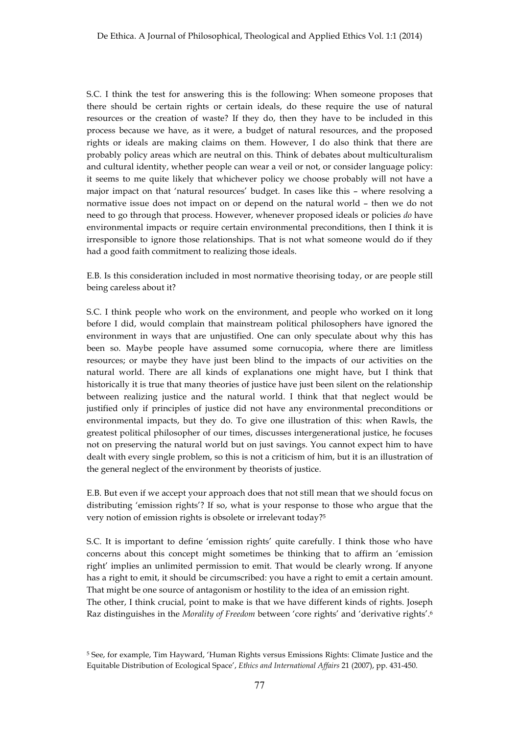S.C. I think the test for answering this is the following: When someone proposes that there should be certain rights or certain ideals, do these require the use of natural resources or the creation of waste? If they do, then they have to be included in this process because we have, as it were, a budget of natural resources, and the proposed rights or ideals are making claims on them. However, I do also think that there are probably policy areas which are neutral on this. Think of debates about multiculturalism and cultural identity, whether people can wear a veil or not, or consider language policy: it seems to me quite likely that whichever policy we choose probably will not have a major impact on that 'natural resources' budget. In cases like this – where resolving a normative issue does not impact on or depend on the natural world – then we do not need to go through that process. However, whenever proposed ideals or policies *do* have environmental impacts or require certain environmental preconditions, then I think it is irresponsible to ignore those relationships. That is not what someone would do if they had a good faith commitment to realizing those ideals.

E.B. Is this consideration included in most normative theorising today, or are people still being careless about it?

S.C. I think people who work on the environment, and people who worked on it long before I did, would complain that mainstream political philosophers have ignored the environment in ways that are unjustified. One can only speculate about why this has been so. Maybe people have assumed some cornucopia, where there are limitless resources; or maybe they have just been blind to the impacts of our activities on the natural world. There are all kinds of explanations one might have, but I think that historically it is true that many theories of justice have just been silent on the relationship between realizing justice and the natural world. I think that that neglect would be justified only if principles of justice did not have any environmental preconditions or environmental impacts, but they do. To give one illustration of this: when Rawls, the greatest political philosopher of our times, discusses intergenerational justice, he focuses not on preserving the natural world but on just savings. You cannot expect him to have dealt with every single problem, so this is not a criticism of him, but it is an illustration of the general neglect of the environment by theorists of justice.

E.B. But even if we accept your approach does that not still mean that we should focus on distributing 'emission rights'? If so, what is your response to those who argue that the very notion of emission rights is obsolete or irrelevant today?5

S.C. It is important to define 'emission rights' quite carefully. I think those who have concerns about this concept might sometimes be thinking that to affirm an 'emission right' implies an unlimited permission to emit. That would be clearly wrong. If anyone has a right to emit, it should be circumscribed: you have a right to emit a certain amount. That might be one source of antagonism or hostility to the idea of an emission right. The other, I think crucial, point to make is that we have different kinds of rights. Joseph Raz distinguishes in the *Morality of Freedom* between 'core rights' and 'derivative rights'.6

<sup>5</sup> See, for example, Tim Hayward, 'Human Rights versus Emissions Rights: Climate Justice and the Equitable Distribution of Ecological Space', *Ethics and International Affairs* 21 (2007), pp. 431-450.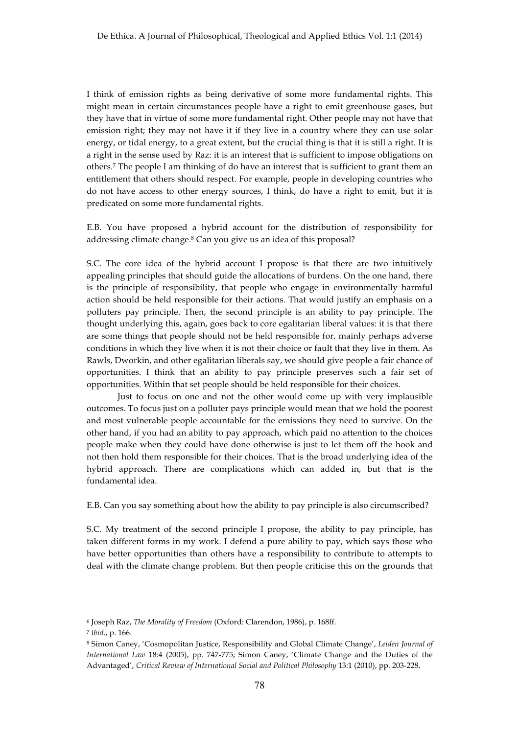I think of emission rights as being derivative of some more fundamental rights. This might mean in certain circumstances people have a right to emit greenhouse gases, but they have that in virtue of some more fundamental right. Other people may not have that emission right; they may not have it if they live in a country where they can use solar energy, or tidal energy, to a great extent, but the crucial thing is that it is still a right. It is a right in the sense used by Raz: it is an interest that is sufficient to impose obligations on others.7 The people I am thinking of do have an interest that is sufficient to grant them an entitlement that others should respect. For example, people in developing countries who do not have access to other energy sources, I think, do have a right to emit, but it is predicated on some more fundamental rights.

E.B. You have proposed a hybrid account for the distribution of responsibility for addressing climate change.8 Can you give us an idea of this proposal?

S.C. The core idea of the hybrid account I propose is that there are two intuitively appealing principles that should guide the allocations of burdens. On the one hand, there is the principle of responsibility, that people who engage in environmentally harmful action should be held responsible for their actions. That would justify an emphasis on a polluters pay principle. Then, the second principle is an ability to pay principle. The thought underlying this, again, goes back to core egalitarian liberal values: it is that there are some things that people should not be held responsible for, mainly perhaps adverse conditions in which they live when it is not their choice or fault that they live in them. As Rawls, Dworkin, and other egalitarian liberals say, we should give people a fair chance of opportunities. I think that an ability to pay principle preserves such a fair set of opportunities. Within that set people should be held responsible for their choices.

Just to focus on one and not the other would come up with very implausible outcomes. To focus just on a polluter pays principle would mean that we hold the poorest and most vulnerable people accountable for the emissions they need to survive. On the other hand, if you had an ability to pay approach, which paid no attention to the choices people make when they could have done otherwise is just to let them off the hook and not then hold them responsible for their choices. That is the broad underlying idea of the hybrid approach. There are complications which can added in, but that is the fundamental idea.

E.B. Can you say something about how the ability to pay principle is also circumscribed?

S.C. My treatment of the second principle I propose, the ability to pay principle, has taken different forms in my work. I defend a pure ability to pay, which says those who have better opportunities than others have a responsibility to contribute to attempts to deal with the climate change problem. But then people criticise this on the grounds that

<sup>6</sup> Joseph Raz, *The Morality of Freedom* (Oxford: Clarendon, 1986), p. 168ff.

<sup>7</sup> *Ibid*., p. 166.

<sup>8</sup> Simon Caney, 'Cosmopolitan Justice, Responsibility and Global Climate Change', *Leiden Journal of International Law* 18:4 (2005), pp. 747-775; Simon Caney, 'Climate Change and the Duties of the Advantaged', *Critical Review of International Social and Political Philosophy* 13:1 (2010), pp. 203-228.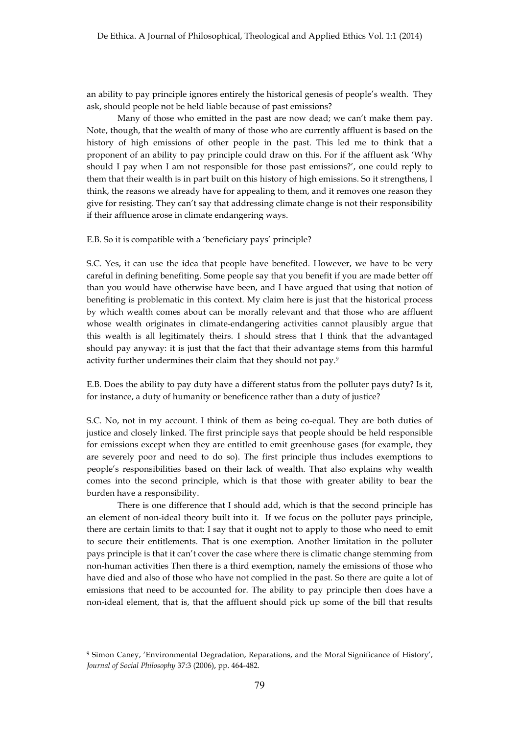an ability to pay principle ignores entirely the historical genesis of people's wealth. They ask, should people not be held liable because of past emissions?

Many of those who emitted in the past are now dead; we can't make them pay. Note, though, that the wealth of many of those who are currently affluent is based on the history of high emissions of other people in the past. This led me to think that a proponent of an ability to pay principle could draw on this. For if the affluent ask 'Why should I pay when I am not responsible for those past emissions?', one could reply to them that their wealth is in part built on this history of high emissions. So it strengthens, I think, the reasons we already have for appealing to them, and it removes one reason they give for resisting. They can't say that addressing climate change is not their responsibility if their affluence arose in climate endangering ways.

E.B. So it is compatible with a 'beneficiary pays' principle?

S.C. Yes, it can use the idea that people have benefited. However, we have to be very careful in defining benefiting. Some people say that you benefit if you are made better off than you would have otherwise have been, and I have argued that using that notion of benefiting is problematic in this context. My claim here is just that the historical process by which wealth comes about can be morally relevant and that those who are affluent whose wealth originates in climate-endangering activities cannot plausibly argue that this wealth is all legitimately theirs. I should stress that I think that the advantaged should pay anyway: it is just that the fact that their advantage stems from this harmful activity further undermines their claim that they should not pay.9

E.B. Does the ability to pay duty have a different status from the polluter pays duty? Is it, for instance, a duty of humanity or beneficence rather than a duty of justice?

S.C. No, not in my account. I think of them as being co-equal. They are both duties of justice and closely linked. The first principle says that people should be held responsible for emissions except when they are entitled to emit greenhouse gases (for example, they are severely poor and need to do so). The first principle thus includes exemptions to people's responsibilities based on their lack of wealth. That also explains why wealth comes into the second principle, which is that those with greater ability to bear the burden have a responsibility.

There is one difference that I should add, which is that the second principle has an element of non-ideal theory built into it. If we focus on the polluter pays principle, there are certain limits to that: I say that it ought not to apply to those who need to emit to secure their entitlements. That is one exemption. Another limitation in the polluter pays principle is that it can't cover the case where there is climatic change stemming from non-human activities Then there is a third exemption, namely the emissions of those who have died and also of those who have not complied in the past. So there are quite a lot of emissions that need to be accounted for. The ability to pay principle then does have a non-ideal element, that is, that the affluent should pick up some of the bill that results

<sup>9</sup> Simon Caney, 'Environmental Degradation, Reparations, and the Moral Significance of History', *Journal of Social Philosophy* 37:3 (2006), pp. 464-482.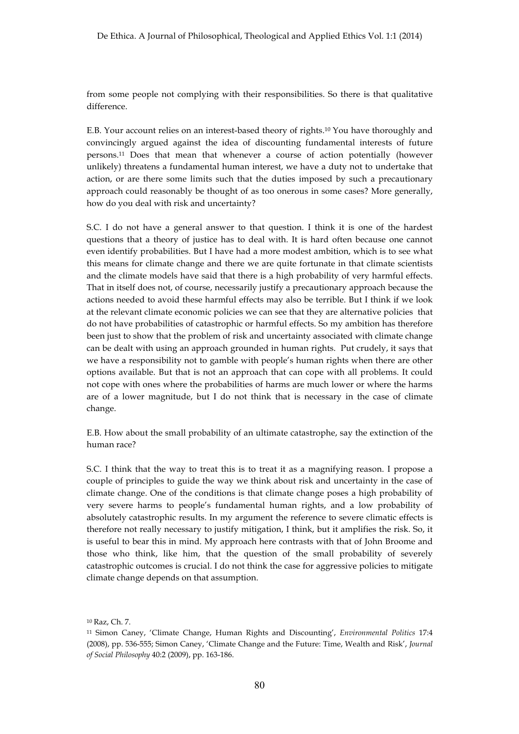from some people not complying with their responsibilities. So there is that qualitative difference.

E.B. Your account relies on an interest-based theory of rights.10 You have thoroughly and convincingly argued against the idea of discounting fundamental interests of future persons.11 Does that mean that whenever a course of action potentially (however unlikely) threatens a fundamental human interest, we have a duty not to undertake that action, or are there some limits such that the duties imposed by such a precautionary approach could reasonably be thought of as too onerous in some cases? More generally, how do you deal with risk and uncertainty?

S.C. I do not have a general answer to that question. I think it is one of the hardest questions that a theory of justice has to deal with. It is hard often because one cannot even identify probabilities. But I have had a more modest ambition, which is to see what this means for climate change and there we are quite fortunate in that climate scientists and the climate models have said that there is a high probability of very harmful effects. That in itself does not, of course, necessarily justify a precautionary approach because the actions needed to avoid these harmful effects may also be terrible. But I think if we look at the relevant climate economic policies we can see that they are alternative policies that do not have probabilities of catastrophic or harmful effects. So my ambition has therefore been just to show that the problem of risk and uncertainty associated with climate change can be dealt with using an approach grounded in human rights. Put crudely, it says that we have a responsibility not to gamble with people's human rights when there are other options available. But that is not an approach that can cope with all problems. It could not cope with ones where the probabilities of harms are much lower or where the harms are of a lower magnitude, but I do not think that is necessary in the case of climate change.

E.B. How about the small probability of an ultimate catastrophe, say the extinction of the human race?

S.C. I think that the way to treat this is to treat it as a magnifying reason. I propose a couple of principles to guide the way we think about risk and uncertainty in the case of climate change. One of the conditions is that climate change poses a high probability of very severe harms to people's fundamental human rights, and a low probability of absolutely catastrophic results. In my argument the reference to severe climatic effects is therefore not really necessary to justify mitigation, I think, but it amplifies the risk. So, it is useful to bear this in mind. My approach here contrasts with that of John Broome and those who think, like him, that the question of the small probability of severely catastrophic outcomes is crucial. I do not think the case for aggressive policies to mitigate climate change depends on that assumption.

<sup>10</sup> Raz, Ch. 7.

<sup>11</sup> Simon Caney, 'Climate Change, Human Rights and Discounting', *Environmental Politics* 17:4 (2008), pp. 536-555; Simon Caney, 'Climate Change and the Future: Time, Wealth and Risk', *Journal of Social Philosophy* 40:2 (2009), pp. 163-186.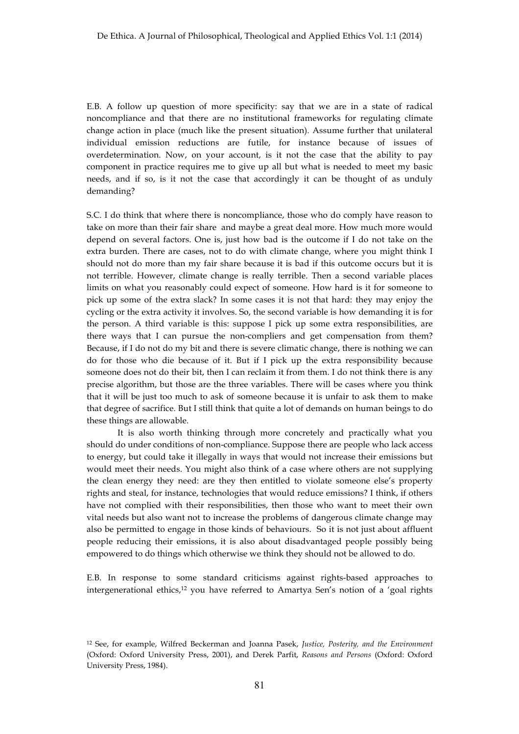E.B. A follow up question of more specificity: say that we are in a state of radical noncompliance and that there are no institutional frameworks for regulating climate change action in place (much like the present situation). Assume further that unilateral individual emission reductions are futile, for instance because of issues of overdetermination. Now, on your account, is it not the case that the ability to pay component in practice requires me to give up all but what is needed to meet my basic needs, and if so, is it not the case that accordingly it can be thought of as unduly demanding?

S.C. I do think that where there is noncompliance, those who do comply have reason to take on more than their fair share and maybe a great deal more. How much more would depend on several factors. One is, just how bad is the outcome if I do not take on the extra burden. There are cases, not to do with climate change, where you might think I should not do more than my fair share because it is bad if this outcome occurs but it is not terrible. However, climate change is really terrible. Then a second variable places limits on what you reasonably could expect of someone. How hard is it for someone to pick up some of the extra slack? In some cases it is not that hard: they may enjoy the cycling or the extra activity it involves. So, the second variable is how demanding it is for the person. A third variable is this: suppose I pick up some extra responsibilities, are there ways that I can pursue the non-compliers and get compensation from them? Because, if I do not do my bit and there is severe climatic change, there is nothing we can do for those who die because of it. But if I pick up the extra responsibility because someone does not do their bit, then I can reclaim it from them. I do not think there is any precise algorithm, but those are the three variables. There will be cases where you think that it will be just too much to ask of someone because it is unfair to ask them to make that degree of sacrifice. But I still think that quite a lot of demands on human beings to do these things are allowable.

It is also worth thinking through more concretely and practically what you should do under conditions of non-compliance. Suppose there are people who lack access to energy, but could take it illegally in ways that would not increase their emissions but would meet their needs. You might also think of a case where others are not supplying the clean energy they need: are they then entitled to violate someone else's property rights and steal, for instance, technologies that would reduce emissions? I think, if others have not complied with their responsibilities, then those who want to meet their own vital needs but also want not to increase the problems of dangerous climate change may also be permitted to engage in those kinds of behaviours. So it is not just about affluent people reducing their emissions, it is also about disadvantaged people possibly being empowered to do things which otherwise we think they should not be allowed to do.

E.B. In response to some standard criticisms against rights-based approaches to intergenerational ethics,<sup>12</sup> you have referred to Amartya Sen's notion of a 'goal rights

<sup>12</sup> See, for example, Wilfred Beckerman and Joanna Pasek, *Justice, Posterity, and the Environment*  (Oxford: Oxford University Press, 2001), and Derek Parfit, *Reasons and Persons* (Oxford: Oxford University Press, 1984).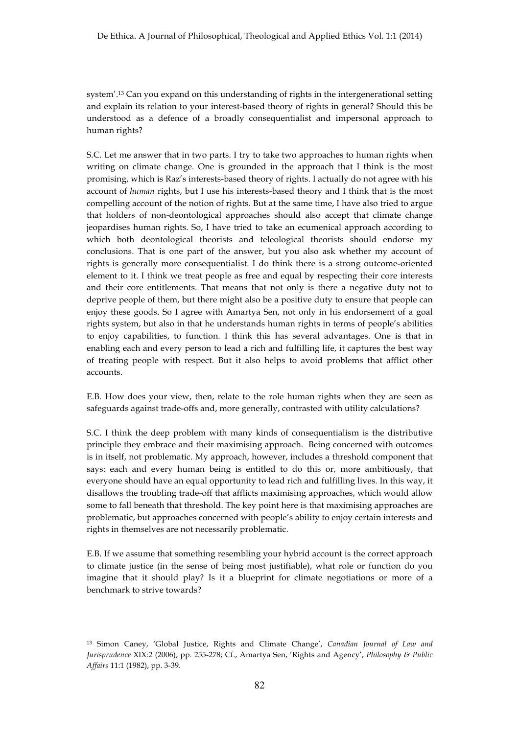system'.13 Can you expand on this understanding of rights in the intergenerational setting and explain its relation to your interest-based theory of rights in general? Should this be understood as a defence of a broadly consequentialist and impersonal approach to human rights?

S.C. Let me answer that in two parts. I try to take two approaches to human rights when writing on climate change. One is grounded in the approach that I think is the most promising, which is Raz's interests-based theory of rights. I actually do not agree with his account of *human* rights, but I use his interests-based theory and I think that is the most compelling account of the notion of rights. But at the same time, I have also tried to argue that holders of non-deontological approaches should also accept that climate change jeopardises human rights. So, I have tried to take an ecumenical approach according to which both deontological theorists and teleological theorists should endorse my conclusions. That is one part of the answer, but you also ask whether my account of rights is generally more consequentialist. I do think there is a strong outcome-oriented element to it. I think we treat people as free and equal by respecting their core interests and their core entitlements. That means that not only is there a negative duty not to deprive people of them, but there might also be a positive duty to ensure that people can enjoy these goods. So I agree with Amartya Sen, not only in his endorsement of a goal rights system, but also in that he understands human rights in terms of people's abilities to enjoy capabilities, to function. I think this has several advantages. One is that in enabling each and every person to lead a rich and fulfilling life, it captures the best way of treating people with respect. But it also helps to avoid problems that afflict other accounts.

E.B. How does your view, then, relate to the role human rights when they are seen as safeguards against trade-offs and, more generally, contrasted with utility calculations?

S.C. I think the deep problem with many kinds of consequentialism is the distributive principle they embrace and their maximising approach. Being concerned with outcomes is in itself, not problematic. My approach, however, includes a threshold component that says: each and every human being is entitled to do this or, more ambitiously, that everyone should have an equal opportunity to lead rich and fulfilling lives. In this way, it disallows the troubling trade-off that afflicts maximising approaches, which would allow some to fall beneath that threshold. The key point here is that maximising approaches are problematic, but approaches concerned with people's ability to enjoy certain interests and rights in themselves are not necessarily problematic.

E.B. If we assume that something resembling your hybrid account is the correct approach to climate justice (in the sense of being most justifiable), what role or function do you imagine that it should play? Is it a blueprint for climate negotiations or more of a benchmark to strive towards?

<sup>13</sup> Simon Caney, 'Global Justice, Rights and Climate Change', *Canadian Journal of Law and Jurisprudence* XIX:2 (2006), pp. 255-278; Cf., Amartya Sen, 'Rights and Agency', *Philosophy & Public Affairs* 11:1 (1982), pp. 3-39.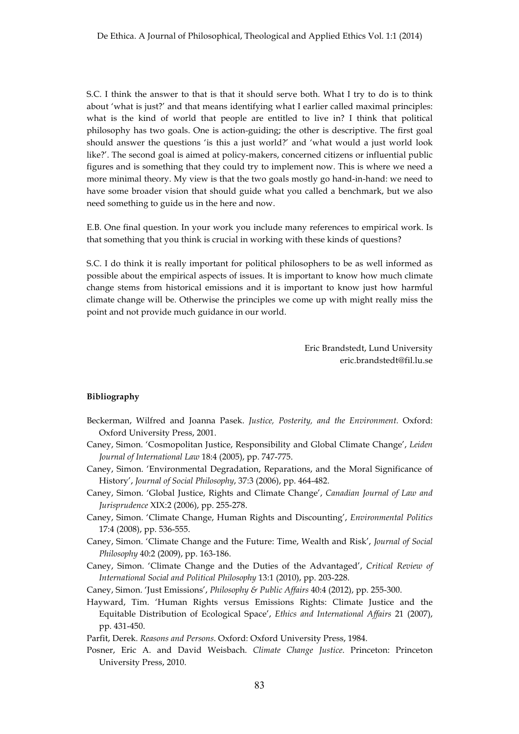S.C. I think the answer to that is that it should serve both. What I try to do is to think about 'what is just?' and that means identifying what I earlier called maximal principles: what is the kind of world that people are entitled to live in? I think that political philosophy has two goals. One is action-guiding; the other is descriptive. The first goal should answer the questions 'is this a just world?' and 'what would a just world look like?'. The second goal is aimed at policy-makers, concerned citizens or influential public figures and is something that they could try to implement now. This is where we need a more minimal theory. My view is that the two goals mostly go hand-in-hand: we need to have some broader vision that should guide what you called a benchmark, but we also need something to guide us in the here and now.

E.B. One final question. In your work you include many references to empirical work. Is that something that you think is crucial in working with these kinds of questions?

S.C. I do think it is really important for political philosophers to be as well informed as possible about the empirical aspects of issues. It is important to know how much climate change stems from historical emissions and it is important to know just how harmful climate change will be. Otherwise the principles we come up with might really miss the point and not provide much guidance in our world.

> Eric Brandstedt, Lund University eric.brandstedt@fil.lu.se

## **Bibliography**

- Beckerman, Wilfred and Joanna Pasek. *Justice, Posterity, and the Environment.* Oxford: Oxford University Press, 2001.
- Caney, Simon. 'Cosmopolitan Justice, Responsibility and Global Climate Change', *Leiden Journal of International Law* 18:4 (2005), pp. 747-775.
- Caney, Simon. 'Environmental Degradation, Reparations, and the Moral Significance of History', *Journal of Social Philosophy*, 37:3 (2006), pp. 464-482.
- Caney, Simon. 'Global Justice, Rights and Climate Change', *Canadian Journal of Law and Jurisprudence* XIX:2 (2006), pp. 255-278.
- Caney, Simon. 'Climate Change, Human Rights and Discounting', *Environmental Politics* 17:4 (2008), pp. 536-555.
- Caney, Simon. 'Climate Change and the Future: Time, Wealth and Risk', *Journal of Social Philosophy* 40:2 (2009), pp. 163-186.
- Caney, Simon. 'Climate Change and the Duties of the Advantaged', *Critical Review of International Social and Political Philosophy* 13:1 (2010), pp. 203-228.
- Caney, Simon. 'Just Emissions', *Philosophy & Public Affairs* 40:4 (2012), pp. 255-300.
- Hayward, Tim. 'Human Rights versus Emissions Rights: Climate Justice and the Equitable Distribution of Ecological Space', *Ethics and International Affairs* 21 (2007), pp. 431-450.

Parfit, Derek. *Reasons and Persons*. Oxford: Oxford University Press, 1984.

Posner, Eric A. and David Weisbach. *Climate Change Justice*. Princeton: Princeton University Press, 2010.